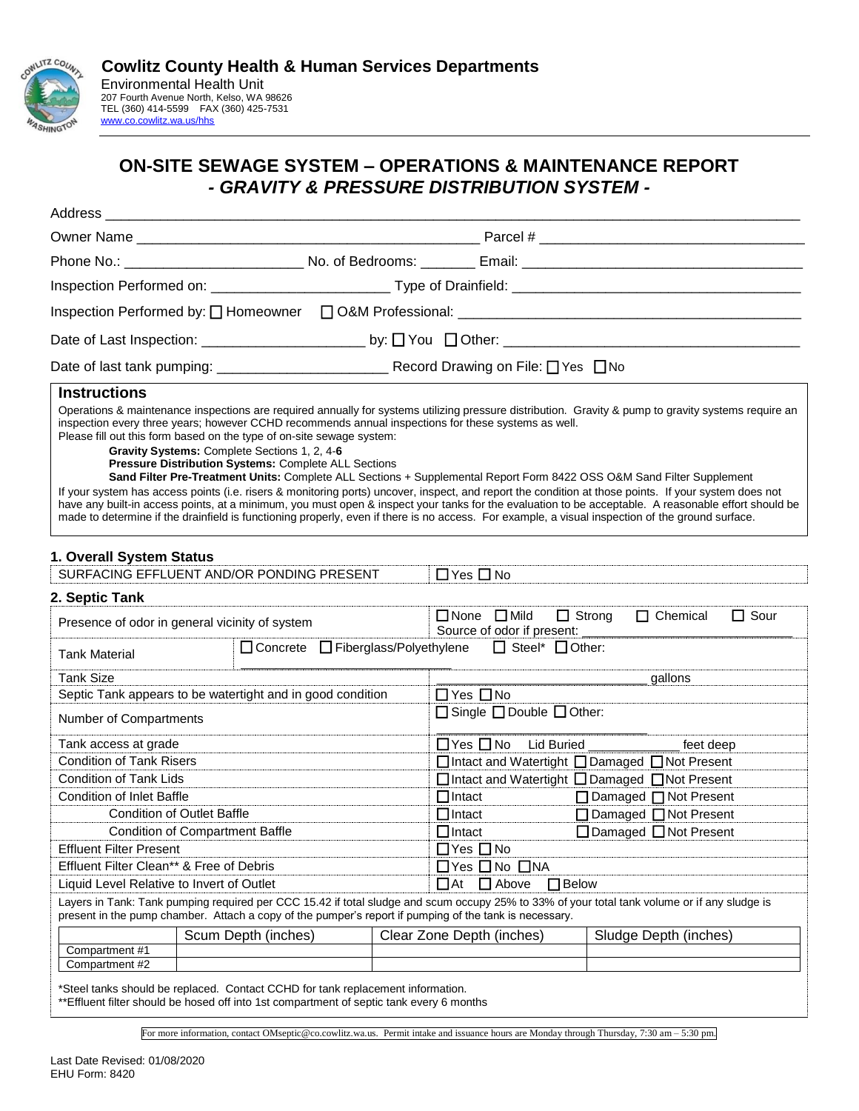

# **ON-SITE SEWAGE SYSTEM – OPERATIONS & MAINTENANCE REPORT** *- GRAVITY & PRESSURE DISTRIBUTION SYSTEM -*

| Address                                                                                                                                                                                                                                                                                                                                                                                                                                                                                                                                                                                                                                                                                                                                                                                                   |                                                                                                      |                                                 |                                                                                                                       |                         |                                   |  |
|-----------------------------------------------------------------------------------------------------------------------------------------------------------------------------------------------------------------------------------------------------------------------------------------------------------------------------------------------------------------------------------------------------------------------------------------------------------------------------------------------------------------------------------------------------------------------------------------------------------------------------------------------------------------------------------------------------------------------------------------------------------------------------------------------------------|------------------------------------------------------------------------------------------------------|-------------------------------------------------|-----------------------------------------------------------------------------------------------------------------------|-------------------------|-----------------------------------|--|
|                                                                                                                                                                                                                                                                                                                                                                                                                                                                                                                                                                                                                                                                                                                                                                                                           |                                                                                                      |                                                 |                                                                                                                       |                         |                                   |  |
| Phone No.: _________________________________No. of Bedrooms: _________Email: _________________________________                                                                                                                                                                                                                                                                                                                                                                                                                                                                                                                                                                                                                                                                                            |                                                                                                      |                                                 |                                                                                                                       |                         |                                   |  |
|                                                                                                                                                                                                                                                                                                                                                                                                                                                                                                                                                                                                                                                                                                                                                                                                           |                                                                                                      |                                                 |                                                                                                                       |                         |                                   |  |
|                                                                                                                                                                                                                                                                                                                                                                                                                                                                                                                                                                                                                                                                                                                                                                                                           |                                                                                                      |                                                 |                                                                                                                       |                         |                                   |  |
|                                                                                                                                                                                                                                                                                                                                                                                                                                                                                                                                                                                                                                                                                                                                                                                                           |                                                                                                      |                                                 |                                                                                                                       |                         |                                   |  |
|                                                                                                                                                                                                                                                                                                                                                                                                                                                                                                                                                                                                                                                                                                                                                                                                           |                                                                                                      |                                                 |                                                                                                                       |                         |                                   |  |
| <b>Instructions</b>                                                                                                                                                                                                                                                                                                                                                                                                                                                                                                                                                                                                                                                                                                                                                                                       |                                                                                                      |                                                 |                                                                                                                       |                         |                                   |  |
| Operations & maintenance inspections are required annually for systems utilizing pressure distribution. Gravity & pump to gravity systems require an<br>inspection every three years; however CCHD recommends annual inspections for these systems as well.<br>Please fill out this form based on the type of on-site sewage system:<br>If your system has access points (i.e. risers & monitoring ports) uncover, inspect, and report the condition at those points. If your system does not<br>have any built-in access points, at a minimum, you must open & inspect your tanks for the evaluation to be acceptable. A reasonable effort should be<br>made to determine if the drainfield is functioning properly, even if there is no access. For example, a visual inspection of the ground surface. | Gravity Systems: Complete Sections 1, 2, 4-6<br>Pressure Distribution Systems: Complete ALL Sections |                                                 | Sand Filter Pre-Treatment Units: Complete ALL Sections + Supplemental Report Form 8422 OSS O&M Sand Filter Supplement |                         |                                   |  |
| 1. Overall System Status                                                                                                                                                                                                                                                                                                                                                                                                                                                                                                                                                                                                                                                                                                                                                                                  |                                                                                                      |                                                 |                                                                                                                       |                         |                                   |  |
| SURFACING EFFLUENT AND/OR PONDING PRESENT                                                                                                                                                                                                                                                                                                                                                                                                                                                                                                                                                                                                                                                                                                                                                                 |                                                                                                      |                                                 | $\Box$ Yes $\Box$ No                                                                                                  |                         |                                   |  |
| 2. Septic Tank                                                                                                                                                                                                                                                                                                                                                                                                                                                                                                                                                                                                                                                                                                                                                                                            |                                                                                                      |                                                 |                                                                                                                       |                         |                                   |  |
| Presence of odor in general vicinity of system                                                                                                                                                                                                                                                                                                                                                                                                                                                                                                                                                                                                                                                                                                                                                            |                                                                                                      |                                                 | $\Box$ None $\Box$ Mild<br>Source of odor if present:                                                                 | $\Box$ Strong           | $\Box$ Sour<br>$\Box$ Chemical    |  |
| <b>Tank Material</b>                                                                                                                                                                                                                                                                                                                                                                                                                                                                                                                                                                                                                                                                                                                                                                                      | $\Box$ Concrete $\Box$ Fiberglass/Polyethylene                                                       |                                                 | $\Box$ Steel* $\Box$ Other:                                                                                           |                         |                                   |  |
| <b>Tank Size</b>                                                                                                                                                                                                                                                                                                                                                                                                                                                                                                                                                                                                                                                                                                                                                                                          |                                                                                                      |                                                 |                                                                                                                       |                         | gallons                           |  |
| Septic Tank appears to be watertight and in good condition                                                                                                                                                                                                                                                                                                                                                                                                                                                                                                                                                                                                                                                                                                                                                |                                                                                                      |                                                 | $\Box$ Yes $\Box$ No                                                                                                  |                         |                                   |  |
| Number of Compartments                                                                                                                                                                                                                                                                                                                                                                                                                                                                                                                                                                                                                                                                                                                                                                                    |                                                                                                      |                                                 | $\Box$ Single $\Box$ Double $\Box$ Other:                                                                             |                         |                                   |  |
| Tank access at grade                                                                                                                                                                                                                                                                                                                                                                                                                                                                                                                                                                                                                                                                                                                                                                                      |                                                                                                      |                                                 | □ Yes □ No Lid Buried _______________ feet deep                                                                       |                         |                                   |  |
| <b>Condition of Tank Risers</b>                                                                                                                                                                                                                                                                                                                                                                                                                                                                                                                                                                                                                                                                                                                                                                           |                                                                                                      | □ Intact and Watertight □ Damaged □ Not Present |                                                                                                                       |                         |                                   |  |
| <b>Condition of Tank Lids</b>                                                                                                                                                                                                                                                                                                                                                                                                                                                                                                                                                                                                                                                                                                                                                                             |                                                                                                      | □ Intact and Watertight □ Damaged □ Not Present |                                                                                                                       |                         |                                   |  |
| <b>Condition of Inlet Baffle</b>                                                                                                                                                                                                                                                                                                                                                                                                                                                                                                                                                                                                                                                                                                                                                                          |                                                                                                      | $\Box$ Intact                                   |                                                                                                                       | □ Damaged □ Not Present |                                   |  |
| <b>Condition of Outlet Baffle</b>                                                                                                                                                                                                                                                                                                                                                                                                                                                                                                                                                                                                                                                                                                                                                                         |                                                                                                      |                                                 | $\Box$ Intact                                                                                                         |                         | □ Damaged □ Not Present           |  |
| <b>Condition of Compartment Baffle</b>                                                                                                                                                                                                                                                                                                                                                                                                                                                                                                                                                                                                                                                                                                                                                                    |                                                                                                      |                                                 | $\Box$ Intact                                                                                                         |                         | $\Box$ Damaged $\Box$ Not Present |  |
| <b>Effluent Filter Present</b>                                                                                                                                                                                                                                                                                                                                                                                                                                                                                                                                                                                                                                                                                                                                                                            |                                                                                                      |                                                 | $\Box$ Yes $\Box$ No                                                                                                  |                         |                                   |  |
| Effluent Filter Clean** & Free of Debris                                                                                                                                                                                                                                                                                                                                                                                                                                                                                                                                                                                                                                                                                                                                                                  |                                                                                                      |                                                 | □Yes □ No □NA                                                                                                         |                         |                                   |  |
| Liquid Level Relative to Invert of Outlet                                                                                                                                                                                                                                                                                                                                                                                                                                                                                                                                                                                                                                                                                                                                                                 |                                                                                                      |                                                 | $\Box$ At<br>$\Box$ Above                                                                                             | $\Box$ Below            |                                   |  |
| Layers in Tank: Tank pumping required per CCC 15.42 if total sludge and scum occupy 25% to 33% of your total tank volume or if any sludge is<br>present in the pump chamber. Attach a copy of the pumper's report if pumping of the tank is necessary.                                                                                                                                                                                                                                                                                                                                                                                                                                                                                                                                                    |                                                                                                      |                                                 |                                                                                                                       |                         |                                   |  |
|                                                                                                                                                                                                                                                                                                                                                                                                                                                                                                                                                                                                                                                                                                                                                                                                           | Scum Depth (inches)                                                                                  |                                                 | Clear Zone Depth (inches)                                                                                             |                         | Sludge Depth (inches)             |  |
| Compartment #1                                                                                                                                                                                                                                                                                                                                                                                                                                                                                                                                                                                                                                                                                                                                                                                            |                                                                                                      |                                                 |                                                                                                                       |                         |                                   |  |
| Compartment #2                                                                                                                                                                                                                                                                                                                                                                                                                                                                                                                                                                                                                                                                                                                                                                                            |                                                                                                      |                                                 |                                                                                                                       |                         |                                   |  |
| *Steel tanks should be replaced. Contact CCHD for tank replacement information.                                                                                                                                                                                                                                                                                                                                                                                                                                                                                                                                                                                                                                                                                                                           |                                                                                                      |                                                 |                                                                                                                       |                         |                                   |  |

\*\*Effluent filter should be hosed off into 1st compartment of septic tank every 6 months

For more information, contact OMseptic@co.cowlitz.wa.us. Permit intake and issuance hours are Monday through Thursday, 7:30 am – 5:30 pm.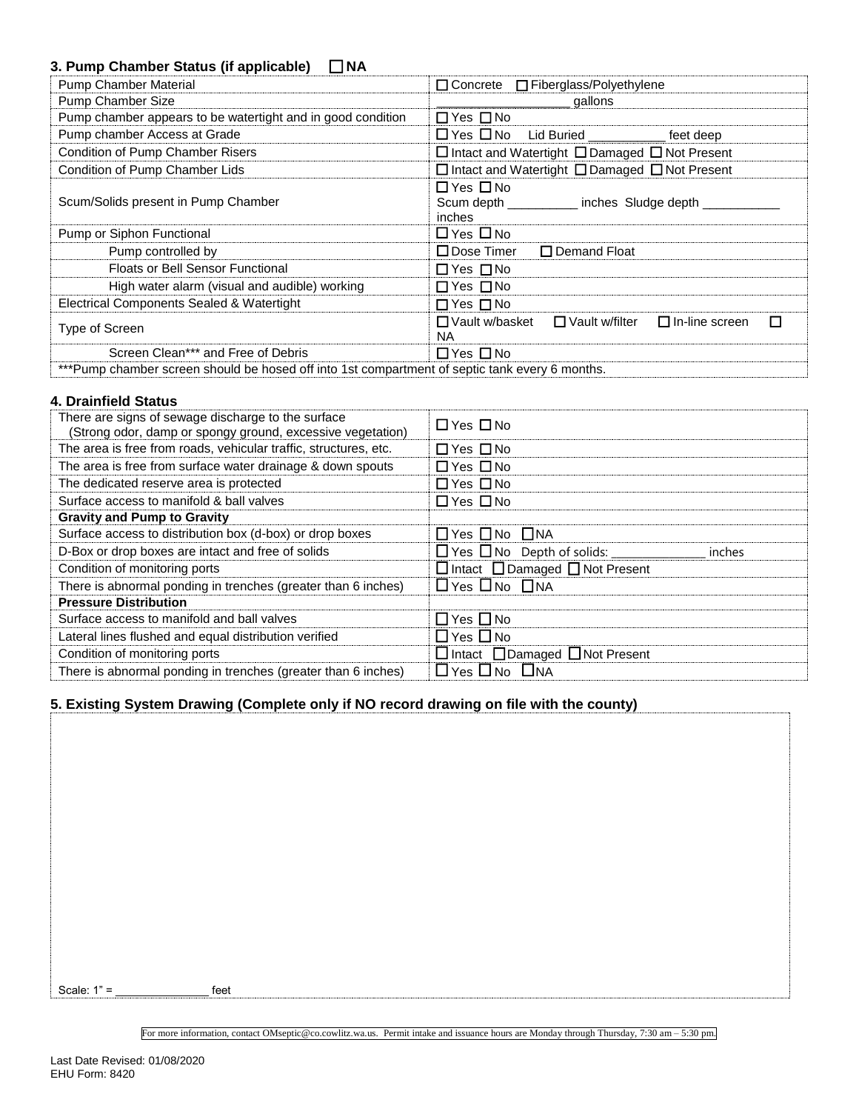# **3. Pump Chamber Status (if applicable)** ☐ **NA**

| <b>Pump Chamber Material</b>                                                                   | $\Box$ Concrete $\Box$ Fiberglass/Polyethylene                                |  |  |
|------------------------------------------------------------------------------------------------|-------------------------------------------------------------------------------|--|--|
| Pump Chamber Size                                                                              | gallons                                                                       |  |  |
| Pump chamber appears to be watertight and in good condition                                    | $\Box$ Yes $\Box$ No                                                          |  |  |
| Pump chamber Access at Grade                                                                   | □ Yes □ No Lid Buried _________<br>feet deep                                  |  |  |
| Condition of Pump Chamber Risers                                                               | $\Box$ Intact and Watertight $\Box$ Damaged $\Box$ Not Present                |  |  |
| Condition of Pump Chamber Lids                                                                 | $\Box$ Intact and Watertight $\Box$ Damaged $\Box$ Not Present                |  |  |
| Scum/Solids present in Pump Chamber                                                            | $\Box$ Yes $\Box$ No<br>Scum depth<br>_inches Sludge depth _<br>inches        |  |  |
| Pump or Siphon Functional                                                                      | $\Box$ Yes $\Box$ No                                                          |  |  |
| Pump controlled by                                                                             | $\Box$ Dose Timer<br>$\Box$ Demand Float                                      |  |  |
| <b>Floats or Bell Sensor Functional</b>                                                        | $\Box$ Yes $\Box$ No                                                          |  |  |
| High water alarm (visual and audible) working                                                  | $\Box$ Yes $\Box$ No                                                          |  |  |
| Electrical Components Sealed & Watertight                                                      | $\Box$ Yes $\Box$ No                                                          |  |  |
| Type of Screen                                                                                 | □ Vault w/basket<br>$\Box$ In-line screen<br>$\Box$ Vault w/filter<br>П<br>ΝA |  |  |
| Screen Clean*** and Free of Debris                                                             | $\Box$ Yes $\Box$ No                                                          |  |  |
| ***Pump chamber screen should be hosed off into 1st compartment of septic tank every 6 months. |                                                                               |  |  |

#### **4. Drainfield Status**

| There are signs of sewage discharge to the surface<br>(Strong odor, damp or spongy ground, excessive vegetation) | $\Box$ Yes $\Box$ No                            |
|------------------------------------------------------------------------------------------------------------------|-------------------------------------------------|
| The area is free from roads, vehicular traffic, structures, etc.                                                 | $\Box$ Yes $\Box$ No                            |
| The area is free from surface water drainage & down spouts                                                       | $\Box$ Yes $\Box$ No                            |
| The dedicated reserve area is protected                                                                          | $\Box$ Yes $\Box$ No                            |
| Surface access to manifold & ball valves                                                                         | $\Box$ Yes $\Box$ No                            |
| <b>Gravity and Pump to Gravity</b>                                                                               |                                                 |
| Surface access to distribution box (d-box) or drop boxes                                                         | $\Box$ Yes $\Box$ No $\Box$ NA                  |
| D-Box or drop boxes are intact and free of solids                                                                | inches                                          |
| Condition of monitoring ports                                                                                    | $\Box$ Intact $\Box$ Damaged $\Box$ Not Present |
| There is abnormal ponding in trenches (greater than 6 inches)                                                    | $\Box$ Yes $\Box$ No $\Box$ NA                  |
| <b>Pressure Distribution</b>                                                                                     |                                                 |
| Surface access to manifold and ball valves                                                                       | $\Box$ Yes $\Box$ No                            |
| Lateral lines flushed and equal distribution verified                                                            | $\Box$ Yes $\Box$ No                            |
| Condition of monitoring ports                                                                                    | $\Box$ Intact $\Box$ Damaged $\Box$ Not Present |
| There is abnormal ponding in trenches (greater than 6 inches)                                                    | $\Box$ Yes $\Box$ No $\Box$ NA                  |

### **5. Existing System Drawing (Complete only if NO record drawing on file with the county)**

Scale:  $1" =$  feet